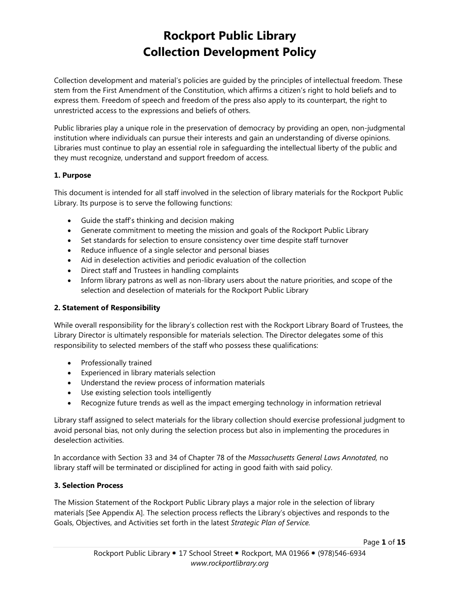# **Rockport Public Library Collection Development Policy**

Collection development and material's policies are guided by the principles of intellectual freedom. These stem from the First Amendment of the Constitution, which affirms a citizen's right to hold beliefs and to express them. Freedom of speech and freedom of the press also apply to its counterpart, the right to unrestricted access to the expressions and beliefs of others.

Public libraries play a unique role in the preservation of democracy by providing an open, non-judgmental institution where individuals can pursue their interests and gain an understanding of diverse opinions. Libraries must continue to play an essential role in safeguarding the intellectual liberty of the public and they must recognize, understand and support freedom of access.

# **1. Purpose**

This document is intended for all staff involved in the selection of library materials for the Rockport Public Library. Its purpose is to serve the following functions:

- Guide the staff's thinking and decision making
- Generate commitment to meeting the mission and goals of the Rockport Public Library
- Set standards for selection to ensure consistency over time despite staff turnover
- Reduce influence of a single selector and personal biases
- Aid in deselection activities and periodic evaluation of the collection
- Direct staff and Trustees in handling complaints
- Inform library patrons as well as non-library users about the nature priorities, and scope of the selection and deselection of materials for the Rockport Public Library

#### **2. Statement of Responsibility**

While overall responsibility for the library's collection rest with the Rockport Library Board of Trustees, the Library Director is ultimately responsible for materials selection. The Director delegates some of this responsibility to selected members of the staff who possess these qualifications:

- Professionally trained
- Experienced in library materials selection
- Understand the review process of information materials
- Use existing selection tools intelligently
- Recognize future trends as well as the impact emerging technology in information retrieval

Library staff assigned to select materials for the library collection should exercise professional judgment to avoid personal bias, not only during the selection process but also in implementing the procedures in deselection activities.

In accordance with Section 33 and 34 of Chapter 78 of the *Massachusetts General Laws Annotated,* no library staff will be terminated or disciplined for acting in good faith with said policy.

#### **3. Selection Process**

The Mission Statement of the Rockport Public Library plays a major role in the selection of library materials [See Appendix A]. The selection process reflects the Library's objectives and responds to the Goals, Objectives, and Activities set forth in the latest *Strategic Plan of Service.*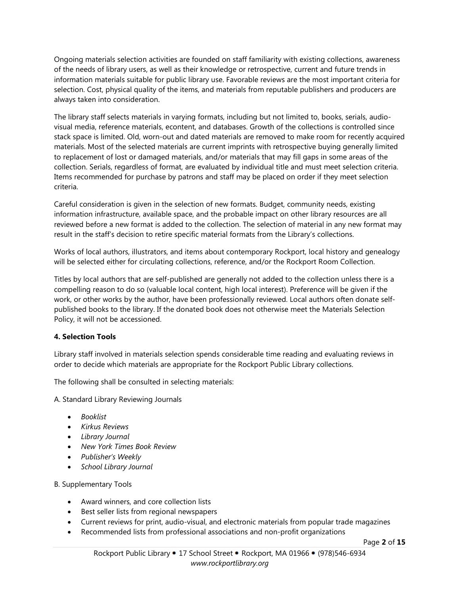Ongoing materials selection activities are founded on staff familiarity with existing collections, awareness of the needs of library users, as well as their knowledge or retrospective, current and future trends in information materials suitable for public library use. Favorable reviews are the most important criteria for selection. Cost, physical quality of the items, and materials from reputable publishers and producers are always taken into consideration.

The library staff selects materials in varying formats, including but not limited to, books, serials, audiovisual media, reference materials, econtent, and databases. Growth of the collections is controlled since stack space is limited. Old, worn-out and dated materials are removed to make room for recently acquired materials. Most of the selected materials are current imprints with retrospective buying generally limited to replacement of lost or damaged materials, and/or materials that may fill gaps in some areas of the collection. Serials, regardless of format, are evaluated by individual title and must meet selection criteria. Items recommended for purchase by patrons and staff may be placed on order if they meet selection criteria.

Careful consideration is given in the selection of new formats. Budget, community needs, existing information infrastructure, available space, and the probable impact on other library resources are all reviewed before a new format is added to the collection. The selection of material in any new format may result in the staff's decision to retire specific material formats from the Library's collections.

Works of local authors, illustrators, and items about contemporary Rockport, local history and genealogy will be selected either for circulating collections, reference, and/or the Rockport Room Collection.

Titles by local authors that are self-published are generally not added to the collection unless there is a compelling reason to do so (valuable local content, high local interest). Preference will be given if the work, or other works by the author, have been professionally reviewed. Local authors often donate selfpublished books to the library. If the donated book does not otherwise meet the Materials Selection Policy, it will not be accessioned.

# **4. Selection Tools**

Library staff involved in materials selection spends considerable time reading and evaluating reviews in order to decide which materials are appropriate for the Rockport Public Library collections.

The following shall be consulted in selecting materials:

A. Standard Library Reviewing Journals

- *Booklist*
- *Kirkus Reviews*
- *Library Journal*
- *New York Times Book Review*
- *Publisher's Weekly*
- *School Library Journal*

#### B. Supplementary Tools

- Award winners, and core collection lists
- Best seller lists from regional newspapers
- Current reviews for print, audio-visual, and electronic materials from popular trade magazines
- Recommended lists from professional associations and non-profit organizations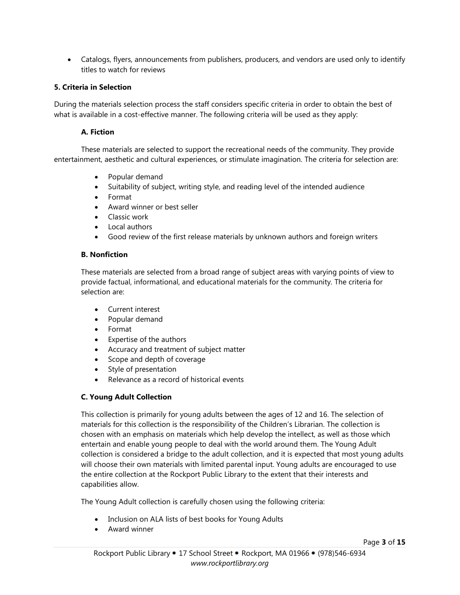• Catalogs, flyers, announcements from publishers, producers, and vendors are used only to identify titles to watch for reviews

#### **5. Criteria in Selection**

During the materials selection process the staff considers specific criteria in order to obtain the best of what is available in a cost-effective manner. The following criteria will be used as they apply:

# **A. Fiction**

These materials are selected to support the recreational needs of the community. They provide entertainment, aesthetic and cultural experiences, or stimulate imagination. The criteria for selection are:

- Popular demand
- Suitability of subject, writing style, and reading level of the intended audience
- Format
- Award winner or best seller
- Classic work
- Local authors
- Good review of the first release materials by unknown authors and foreign writers

#### **B. Nonfiction**

These materials are selected from a broad range of subject areas with varying points of view to provide factual, informational, and educational materials for the community. The criteria for selection are:

- Current interest
- Popular demand
- Format
- Expertise of the authors
- Accuracy and treatment of subject matter
- Scope and depth of coverage
- Style of presentation
- Relevance as a record of historical events

# **C. Young Adult Collection**

This collection is primarily for young adults between the ages of 12 and 16. The selection of materials for this collection is the responsibility of the Children's Librarian. The collection is chosen with an emphasis on materials which help develop the intellect, as well as those which entertain and enable young people to deal with the world around them. The Young Adult collection is considered a bridge to the adult collection, and it is expected that most young adults will choose their own materials with limited parental input. Young adults are encouraged to use the entire collection at the Rockport Public Library to the extent that their interests and capabilities allow.

The Young Adult collection is carefully chosen using the following criteria:

- Inclusion on ALA lists of best books for Young Adults
- Award winner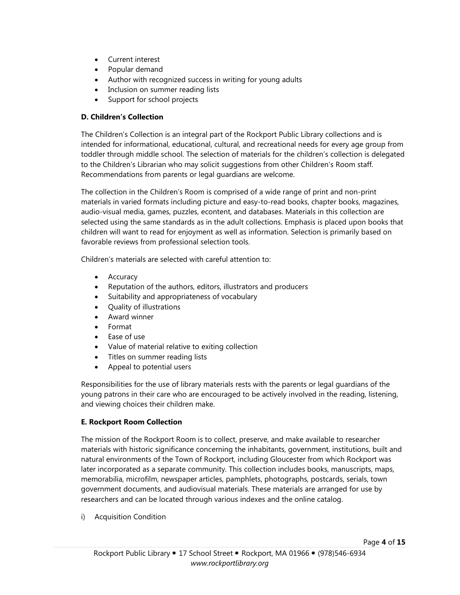- Current interest
- Popular demand
- Author with recognized success in writing for young adults
- Inclusion on summer reading lists
- Support for school projects

## **D. Children's Collection**

The Children's Collection is an integral part of the Rockport Public Library collections and is intended for informational, educational, cultural, and recreational needs for every age group from toddler through middle school. The selection of materials for the children's collection is delegated to the Children's Librarian who may solicit suggestions from other Children's Room staff. Recommendations from parents or legal guardians are welcome.

The collection in the Children's Room is comprised of a wide range of print and non-print materials in varied formats including picture and easy-to-read books, chapter books, magazines, audio-visual media, games, puzzles, econtent, and databases. Materials in this collection are selected using the same standards as in the adult collections. Emphasis is placed upon books that children will want to read for enjoyment as well as information. Selection is primarily based on favorable reviews from professional selection tools.

Children's materials are selected with careful attention to:

- Accuracy
- Reputation of the authors, editors, illustrators and producers
- Suitability and appropriateness of vocabulary
- Quality of illustrations
- Award winner
- Format
- Ease of use
- Value of material relative to exiting collection
- Titles on summer reading lists
- Appeal to potential users

Responsibilities for the use of library materials rests with the parents or legal guardians of the young patrons in their care who are encouraged to be actively involved in the reading, listening, and viewing choices their children make.

# **E. Rockport Room Collection**

The mission of the Rockport Room is to collect, preserve, and make available to researcher materials with historic significance concerning the inhabitants, government, institutions, built and natural environments of the Town of Rockport, including Gloucester from which Rockport was later incorporated as a separate community. This collection includes books, manuscripts, maps, memorabilia, microfilm, newspaper articles, pamphlets, photographs, postcards, serials, town government documents, and audiovisual materials. These materials are arranged for use by researchers and can be located through various indexes and the online catalog.

i) Acquisition Condition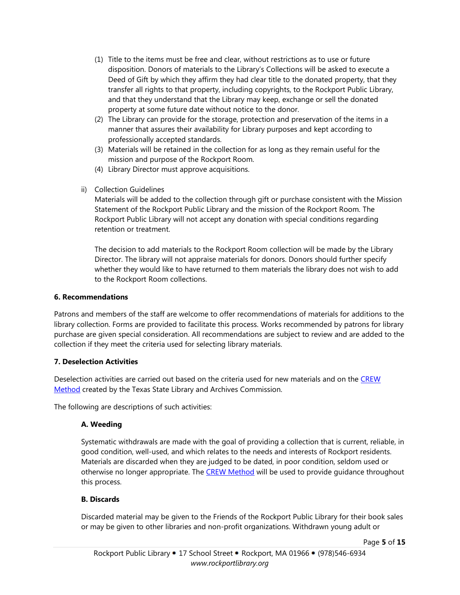- (1) Title to the items must be free and clear, without restrictions as to use or future disposition. Donors of materials to the Library's Collections will be asked to execute a Deed of Gift by which they affirm they had clear title to the donated property, that they transfer all rights to that property, including copyrights, to the Rockport Public Library, and that they understand that the Library may keep, exchange or sell the donated property at some future date without notice to the donor.
- (2) The Library can provide for the storage, protection and preservation of the items in a manner that assures their availability for Library purposes and kept according to professionally accepted standards.
- (3) Materials will be retained in the collection for as long as they remain useful for the mission and purpose of the Rockport Room.
- (4) Library Director must approve acquisitions.
- ii) Collection Guidelines

Materials will be added to the collection through gift or purchase consistent with the Mission Statement of the Rockport Public Library and the mission of the Rockport Room. The Rockport Public Library will not accept any donation with special conditions regarding retention or treatment.

The decision to add materials to the Rockport Room collection will be made by the Library Director. The library will not appraise materials for donors. Donors should further specify whether they would like to have returned to them materials the library does not wish to add to the Rockport Room collections.

# **6. Recommendations**

Patrons and members of the staff are welcome to offer recommendations of materials for additions to the library collection. Forms are provided to facilitate this process. Works recommended by patrons for library purchase are given special consideration. All recommendations are subject to review and are added to the collection if they meet the criteria used for selecting library materials.

# **7. Deselection Activities**

Deselection activities are carried out based on the criteria used for new materials and on the CREW [Method](https://www.tsl.texas.gov/ld/pubs/crew/index.html) created by the Texas State Library and Archives Commission.

The following are descriptions of such activities:

# **A. Weeding**

Systematic withdrawals are made with the goal of providing a collection that is current, reliable, in good condition, well-used, and which relates to the needs and interests of Rockport residents. Materials are discarded when they are judged to be dated, in poor condition, seldom used or otherwise no longer appropriate. The [CREW Method](https://www.tsl.texas.gov/ld/pubs/crew/index.html) will be used to provide guidance throughout this process.

# **B. Discards**

Discarded material may be given to the Friends of the Rockport Public Library for their book sales or may be given to other libraries and non-profit organizations. Withdrawn young adult or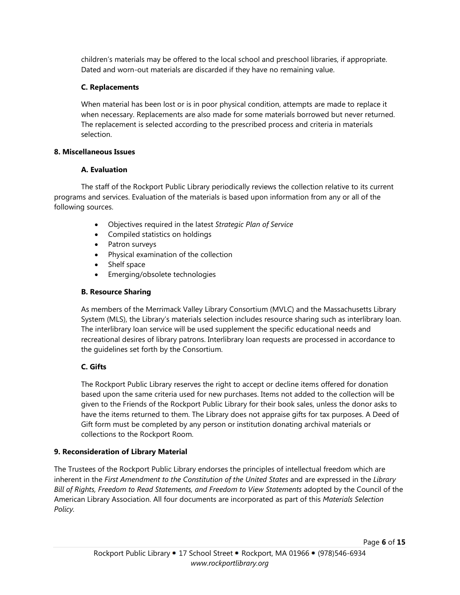children's materials may be offered to the local school and preschool libraries, if appropriate. Dated and worn-out materials are discarded if they have no remaining value.

# **C. Replacements**

When material has been lost or is in poor physical condition, attempts are made to replace it when necessary. Replacements are also made for some materials borrowed but never returned. The replacement is selected according to the prescribed process and criteria in materials selection.

#### **8. Miscellaneous Issues**

## **A. Evaluation**

The staff of the Rockport Public Library periodically reviews the collection relative to its current programs and services. Evaluation of the materials is based upon information from any or all of the following sources.

- Objectives required in the latest *Strategic Plan of Service*
- Compiled statistics on holdings
- Patron surveys
- Physical examination of the collection
- Shelf space
- Emerging/obsolete technologies

# **B. Resource Sharing**

As members of the Merrimack Valley Library Consortium (MVLC) and the Massachusetts Library System (MLS), the Library's materials selection includes resource sharing such as interlibrary loan. The interlibrary loan service will be used supplement the specific educational needs and recreational desires of library patrons. Interlibrary loan requests are processed in accordance to the guidelines set forth by the Consortium.

# **C. Gifts**

The Rockport Public Library reserves the right to accept or decline items offered for donation based upon the same criteria used for new purchases. Items not added to the collection will be given to the Friends of the Rockport Public Library for their book sales, unless the donor asks to have the items returned to them. The Library does not appraise gifts for tax purposes. A Deed of Gift form must be completed by any person or institution donating archival materials or collections to the Rockport Room.

# **9. Reconsideration of Library Material**

The Trustees of the Rockport Public Library endorses the principles of intellectual freedom which are inherent in the *First Amendment to the Constitution of the United States* and are expressed in the *Library Bill of Rights, Freedom to Read Statements, and Freedom to View Statements* adopted by the Council of the American Library Association. All four documents are incorporated as part of this *Materials Selection Policy.*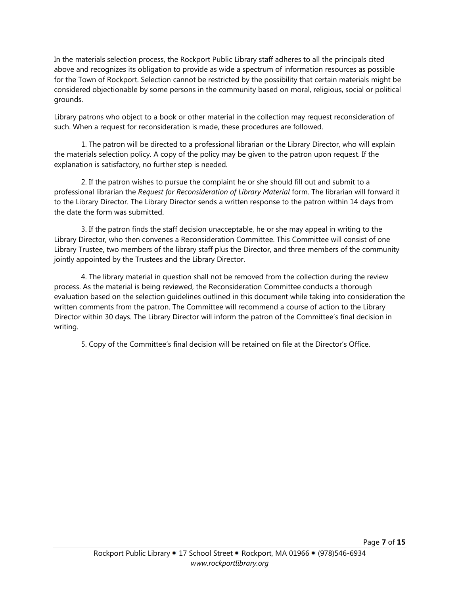In the materials selection process, the Rockport Public Library staff adheres to all the principals cited above and recognizes its obligation to provide as wide a spectrum of information resources as possible for the Town of Rockport. Selection cannot be restricted by the possibility that certain materials might be considered objectionable by some persons in the community based on moral, religious, social or political grounds.

Library patrons who object to a book or other material in the collection may request reconsideration of such. When a request for reconsideration is made, these procedures are followed.

1. The patron will be directed to a professional librarian or the Library Director, who will explain the materials selection policy. A copy of the policy may be given to the patron upon request. If the explanation is satisfactory, no further step is needed.

2. If the patron wishes to pursue the complaint he or she should fill out and submit to a professional librarian the *Request for Reconsideration of Library Material* form. The librarian will forward it to the Library Director. The Library Director sends a written response to the patron within 14 days from the date the form was submitted.

3. If the patron finds the staff decision unacceptable, he or she may appeal in writing to the Library Director, who then convenes a Reconsideration Committee. This Committee will consist of one Library Trustee, two members of the library staff plus the Director, and three members of the community jointly appointed by the Trustees and the Library Director.

4. The library material in question shall not be removed from the collection during the review process. As the material is being reviewed, the Reconsideration Committee conducts a thorough evaluation based on the selection guidelines outlined in this document while taking into consideration the written comments from the patron. The Committee will recommend a course of action to the Library Director within 30 days. The Library Director will inform the patron of the Committee's final decision in writing.

5. Copy of the Committee's final decision will be retained on file at the Director's Office.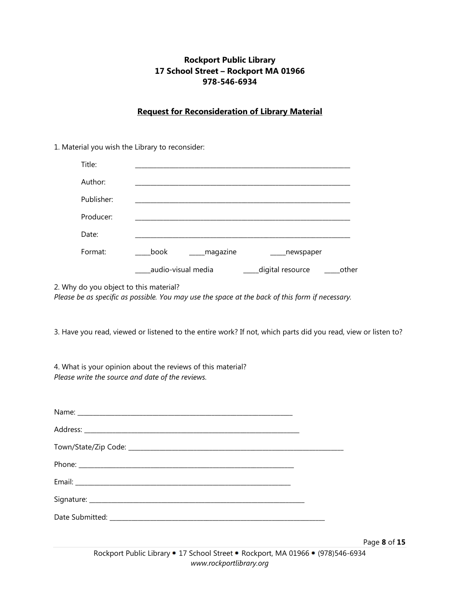# **Rockport Public Library 17 School Street – Rockport MA 01966 978-546-6934**

#### **Request for Reconsideration of Library Material**

1. Material you wish the Library to reconsider:

| Title:     |                    |          |                  |       |
|------------|--------------------|----------|------------------|-------|
| Author:    |                    |          |                  |       |
| Publisher: |                    |          |                  |       |
| Producer:  |                    |          |                  |       |
| Date:      |                    |          |                  |       |
| Format:    | book               | magazine | _newspaper       |       |
|            | audio-visual media |          | digital resource | other |

2. Why do you object to this material?

*Please be as specific as possible. You may use the space at the back of this form if necessary.*

3. Have you read, viewed or listened to the entire work? If not, which parts did you read, view or listen to?

4. What is your opinion about the reviews of this material? *Please write the source and date of the reviews.*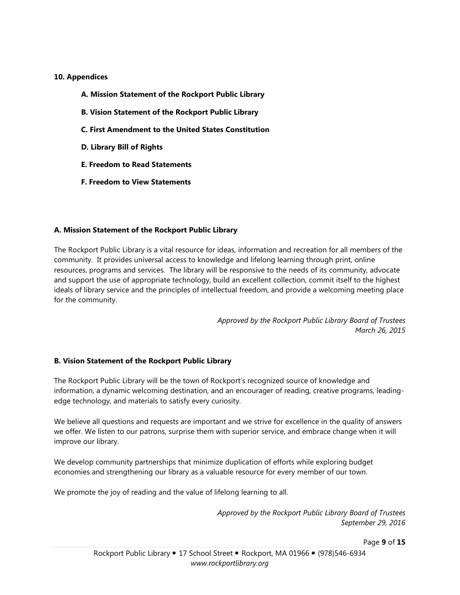#### **10. Appendices**

- **A. Mission Statement of the Rockport Public Library**
- **B. Vision Statement of the Rockport Public Library**
- **C. First Amendment to the United States Constitution**
- **D. Library Bill of Rights**
- **E. Freedom to Read Statements**
- **F. Freedom to View Statements**

#### **A. Mission Statement of the Rockport Public Library**

The Rockport Public Library is a vital resource for ideas, information and recreation for all members of the community. It provides universal access to knowledge and lifelong learning through print, online resources, programs and services. The library will be responsive to the needs of its community, advocate and support the use of appropriate technology, build an excellent collection, commit itself to the highest ideals of library service and the principles of intellectual freedom, and provide a welcoming meeting place for the community.

> *Approved by the Rockport Public Library Board of Trustees March 26, 2015*

#### **B. Vision Statement of the Rockport Public Library**

The Rockport Public Library will be the town of Rockport's recognized source of knowledge and information, a dynamic welcoming destination, and an encourager of reading, creative programs, leadingedge technology, and materials to satisfy every curiosity.

We believe all questions and requests are important and we strive for excellence in the quality of answers we offer. We listen to our patrons, surprise them with superior service, and embrace change when it will improve our library.

We develop community partnerships that minimize duplication of efforts while exploring budget economies and strengthening our library as a valuable resource for every member of our town.

We promote the joy of reading and the value of lifelong learning to all.

*Approved by the Rockport Public Library Board of Trustees September 29, 2016*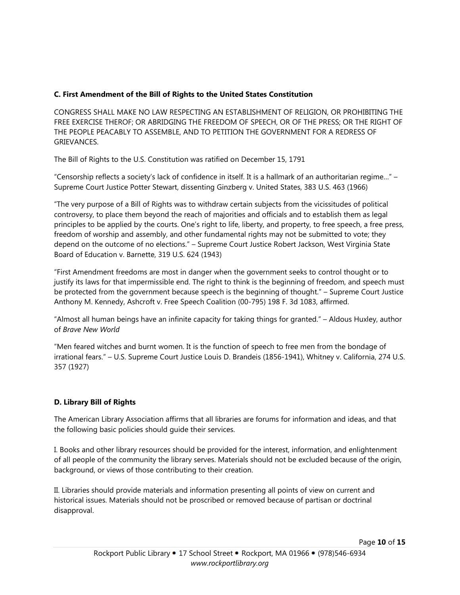# **C. First Amendment of the Bill of Rights to the United States Constitution**

CONGRESS SHALL MAKE NO LAW RESPECTING AN ESTABLISHMENT OF RELIGION, OR PROHIBITING THE FREE EXERCISE THEROF; OR ABRIDGING THE FREEDOM OF SPEECH, OR OF THE PRESS; OR THE RIGHT OF THE PEOPLE PEACABLY TO ASSEMBLE, AND TO PETITION THE GOVERNMENT FOR A REDRESS OF GRIEVANCES.

The Bill of Rights to the U.S. Constitution was ratified on December 15, 1791

"Censorship reflects a society's lack of confidence in itself. It is a hallmark of an authoritarian regime…" – Supreme Court Justice Potter Stewart, dissenting Ginzberg v. United States, 383 U.S. 463 (1966)

"The very purpose of a Bill of Rights was to withdraw certain subjects from the vicissitudes of political controversy, to place them beyond the reach of majorities and officials and to establish them as legal principles to be applied by the courts. One's right to life, liberty, and property, to free speech, a free press, freedom of worship and assembly, and other fundamental rights may not be submitted to vote; they depend on the outcome of no elections." – Supreme Court Justice Robert Jackson, West Virginia State Board of Education v. Barnette, 319 U.S. 624 (1943)

"First Amendment freedoms are most in danger when the government seeks to control thought or to justify its laws for that impermissible end. The right to think is the beginning of freedom, and speech must be protected from the government because speech is the beginning of thought." – Supreme Court Justice Anthony M. Kennedy, Ashcroft v. Free Speech Coalition (00-795) 198 F. 3d 1083, affirmed.

"Almost all human beings have an infinite capacity for taking things for granted." – Aldous Huxley, author of *Brave New World*

"Men feared witches and burnt women. It is the function of speech to free men from the bondage of irrational fears." – U.S. Supreme Court Justice Louis D. Brandeis (1856-1941), Whitney v. California, 274 U.S. 357 (1927)

# **D. Library Bill of Rights**

The American Library Association affirms that all libraries are forums for information and ideas, and that the following basic policies should guide their services.

I. Books and other library resources should be provided for the interest, information, and enlightenment of all people of the community the library serves. Materials should not be excluded because of the origin, background, or views of those contributing to their creation.

II. Libraries should provide materials and information presenting all points of view on current and historical issues. Materials should not be proscribed or removed because of partisan or doctrinal disapproval.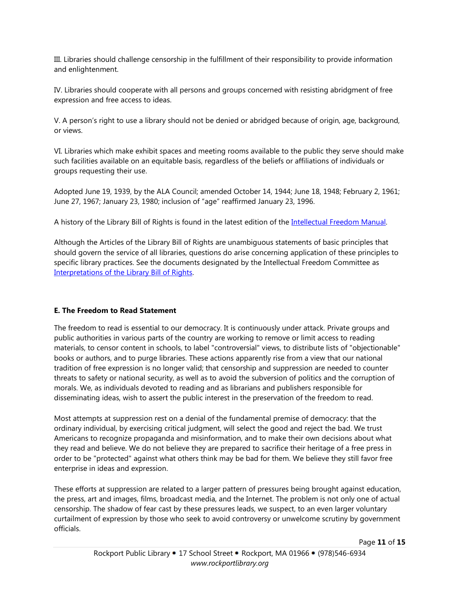III. Libraries should challenge censorship in the fulfillment of their responsibility to provide information and enlightenment.

IV. Libraries should cooperate with all persons and groups concerned with resisting abridgment of free expression and free access to ideas.

V. A person's right to use a library should not be denied or abridged because of origin, age, background, or views.

VI. Libraries which make exhibit spaces and meeting rooms available to the public they serve should make such facilities available on an equitable basis, regardless of the beliefs or affiliations of individuals or groups requesting their use.

Adopted June 19, 1939, by the ALA Council; amended October 14, 1944; June 18, 1948; February 2, 1961; June 27, 1967; January 23, 1980; inclusion of "age" reaffirmed January 23, 1996.

A history of the Library Bill of Rights is found in the latest edition of the [Intellectual Freedom Manual.](http://www.ala.org/advocacy/intfreedom/iftoolkits/ifmanual/intellectual)

Although the Articles of the Library Bill of Rights are unambiguous statements of basic principles that should govern the service of all libraries, questions do arise concerning application of these principles to specific library practices. See the documents designated by the Intellectual Freedom Committee as [Interpretations of the Library Bill of Rights.](http://www.ala.org/advocacy/intfreedom/librarybill/interpretations)

# **E. The Freedom to Read Statement**

The freedom to read is essential to our democracy. It is continuously under attack. Private groups and public authorities in various parts of the country are working to remove or limit access to reading materials, to censor content in schools, to label "controversial" views, to distribute lists of "objectionable" books or authors, and to purge libraries. These actions apparently rise from a view that our national tradition of free expression is no longer valid; that censorship and suppression are needed to counter threats to safety or national security, as well as to avoid the subversion of politics and the corruption of morals. We, as individuals devoted to reading and as librarians and publishers responsible for disseminating ideas, wish to assert the public interest in the preservation of the freedom to read.

Most attempts at suppression rest on a denial of the fundamental premise of democracy: that the ordinary individual, by exercising critical judgment, will select the good and reject the bad. We trust Americans to recognize propaganda and misinformation, and to make their own decisions about what they read and believe. We do not believe they are prepared to sacrifice their heritage of a free press in order to be "protected" against what others think may be bad for them. We believe they still favor free enterprise in ideas and expression.

These efforts at suppression are related to a larger pattern of pressures being brought against education, the press, art and images, films, broadcast media, and the Internet. The problem is not only one of actual censorship. The shadow of fear cast by these pressures leads, we suspect, to an even larger voluntary curtailment of expression by those who seek to avoid controversy or unwelcome scrutiny by government officials.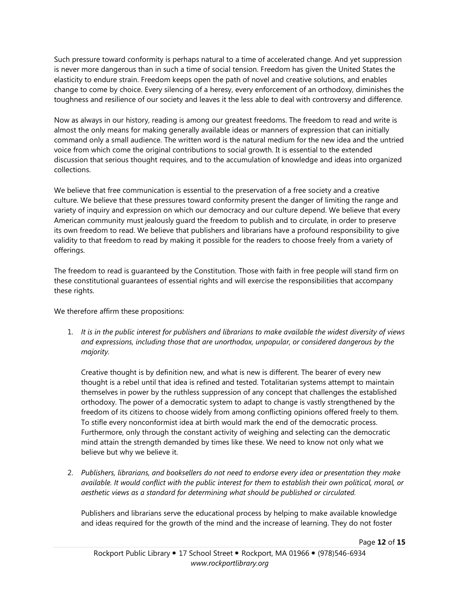Such pressure toward conformity is perhaps natural to a time of accelerated change. And yet suppression is never more dangerous than in such a time of social tension. Freedom has given the United States the elasticity to endure strain. Freedom keeps open the path of novel and creative solutions, and enables change to come by choice. Every silencing of a heresy, every enforcement of an orthodoxy, diminishes the toughness and resilience of our society and leaves it the less able to deal with controversy and difference.

Now as always in our history, reading is among our greatest freedoms. The freedom to read and write is almost the only means for making generally available ideas or manners of expression that can initially command only a small audience. The written word is the natural medium for the new idea and the untried voice from which come the original contributions to social growth. It is essential to the extended discussion that serious thought requires, and to the accumulation of knowledge and ideas into organized collections.

We believe that free communication is essential to the preservation of a free society and a creative culture. We believe that these pressures toward conformity present the danger of limiting the range and variety of inquiry and expression on which our democracy and our culture depend. We believe that every American community must jealously guard the freedom to publish and to circulate, in order to preserve its own freedom to read. We believe that publishers and librarians have a profound responsibility to give validity to that freedom to read by making it possible for the readers to choose freely from a variety of offerings.

The freedom to read is guaranteed by the Constitution. Those with faith in free people will stand firm on these constitutional guarantees of essential rights and will exercise the responsibilities that accompany these rights.

We therefore affirm these propositions:

1. *It is in the public interest for publishers and librarians to make available the widest diversity of views and expressions, including those that are unorthodox, unpopular, or considered dangerous by the majority.*

Creative thought is by definition new, and what is new is different. The bearer of every new thought is a rebel until that idea is refined and tested. Totalitarian systems attempt to maintain themselves in power by the ruthless suppression of any concept that challenges the established orthodoxy. The power of a democratic system to adapt to change is vastly strengthened by the freedom of its citizens to choose widely from among conflicting opinions offered freely to them. To stifle every nonconformist idea at birth would mark the end of the democratic process. Furthermore, only through the constant activity of weighing and selecting can the democratic mind attain the strength demanded by times like these. We need to know not only what we believe but why we believe it.

2. *Publishers, librarians, and booksellers do not need to endorse every idea or presentation they make available. It would conflict with the public interest for them to establish their own political, moral, or aesthetic views as a standard for determining what should be published or circulated.*

Publishers and librarians serve the educational process by helping to make available knowledge and ideas required for the growth of the mind and the increase of learning. They do not foster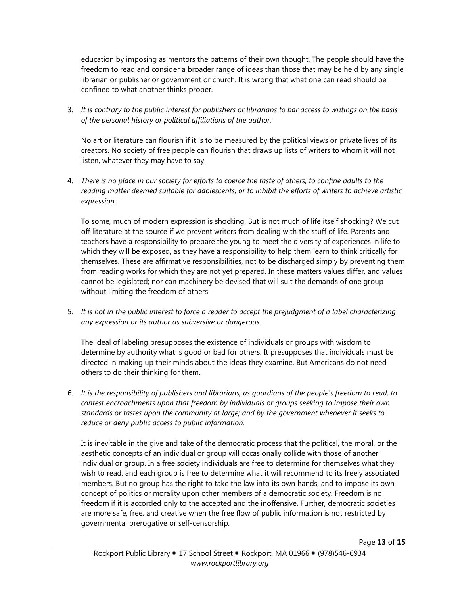education by imposing as mentors the patterns of their own thought. The people should have the freedom to read and consider a broader range of ideas than those that may be held by any single librarian or publisher or government or church. It is wrong that what one can read should be confined to what another thinks proper.

3. *It is contrary to the public interest for publishers or librarians to bar access to writings on the basis of the personal history or political affiliations of the author.*

No art or literature can flourish if it is to be measured by the political views or private lives of its creators. No society of free people can flourish that draws up lists of writers to whom it will not listen, whatever they may have to say.

4. *There is no place in our society for efforts to coerce the taste of others, to confine adults to the reading matter deemed suitable for adolescents, or to inhibit the efforts of writers to achieve artistic expression.*

To some, much of modern expression is shocking. But is not much of life itself shocking? We cut off literature at the source if we prevent writers from dealing with the stuff of life. Parents and teachers have a responsibility to prepare the young to meet the diversity of experiences in life to which they will be exposed, as they have a responsibility to help them learn to think critically for themselves. These are affirmative responsibilities, not to be discharged simply by preventing them from reading works for which they are not yet prepared. In these matters values differ, and values cannot be legislated; nor can machinery be devised that will suit the demands of one group without limiting the freedom of others.

5. *It is not in the public interest to force a reader to accept the prejudgment of a label characterizing any expression or its author as subversive or dangerous.*

The ideal of labeling presupposes the existence of individuals or groups with wisdom to determine by authority what is good or bad for others. It presupposes that individuals must be directed in making up their minds about the ideas they examine. But Americans do not need others to do their thinking for them.

6. *It is the responsibility of publishers and librarians, as guardians of the people's freedom to read, to contest encroachments upon that freedom by individuals or groups seeking to impose their own standards or tastes upon the community at large; and by the government whenever it seeks to reduce or deny public access to public information.*

It is inevitable in the give and take of the democratic process that the political, the moral, or the aesthetic concepts of an individual or group will occasionally collide with those of another individual or group. In a free society individuals are free to determine for themselves what they wish to read, and each group is free to determine what it will recommend to its freely associated members. But no group has the right to take the law into its own hands, and to impose its own concept of politics or morality upon other members of a democratic society. Freedom is no freedom if it is accorded only to the accepted and the inoffensive. Further, democratic societies are more safe, free, and creative when the free flow of public information is not restricted by governmental prerogative or self-censorship.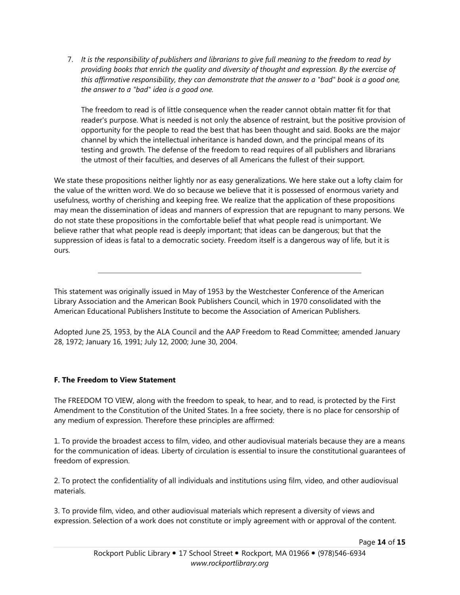7. *It is the responsibility of publishers and librarians to give full meaning to the freedom to read by providing books that enrich the quality and diversity of thought and expression. By the exercise of this affirmative responsibility, they can demonstrate that the answer to a "bad" book is a good one, the answer to a "bad" idea is a good one.*

The freedom to read is of little consequence when the reader cannot obtain matter fit for that reader's purpose. What is needed is not only the absence of restraint, but the positive provision of opportunity for the people to read the best that has been thought and said. Books are the major channel by which the intellectual inheritance is handed down, and the principal means of its testing and growth. The defense of the freedom to read requires of all publishers and librarians the utmost of their faculties, and deserves of all Americans the fullest of their support.

We state these propositions neither lightly nor as easy generalizations. We here stake out a lofty claim for the value of the written word. We do so because we believe that it is possessed of enormous variety and usefulness, worthy of cherishing and keeping free. We realize that the application of these propositions may mean the dissemination of ideas and manners of expression that are repugnant to many persons. We do not state these propositions in the comfortable belief that what people read is unimportant. We believe rather that what people read is deeply important; that ideas can be dangerous; but that the suppression of ideas is fatal to a democratic society. Freedom itself is a dangerous way of life, but it is ours.

This statement was originally issued in May of 1953 by the Westchester Conference of the American Library Association and the American Book Publishers Council, which in 1970 consolidated with the American Educational Publishers Institute to become the Association of American Publishers.

Adopted June 25, 1953, by the ALA Council and the AAP Freedom to Read Committee; amended January 28, 1972; January 16, 1991; July 12, 2000; June 30, 2004.

# **F. The Freedom to View Statement**

The FREEDOM TO VIEW, along with the freedom to speak, to hear, and to read, is protected by the First Amendment to the Constitution of the United States. In a free society, there is no place for censorship of any medium of expression. Therefore these principles are affirmed:

1. To provide the broadest access to film, video, and other audiovisual materials because they are a means for the communication of ideas. Liberty of circulation is essential to insure the constitutional guarantees of freedom of expression.

2. To protect the confidentiality of all individuals and institutions using film, video, and other audiovisual materials.

3. To provide film, video, and other audiovisual materials which represent a diversity of views and expression. Selection of a work does not constitute or imply agreement with or approval of the content.